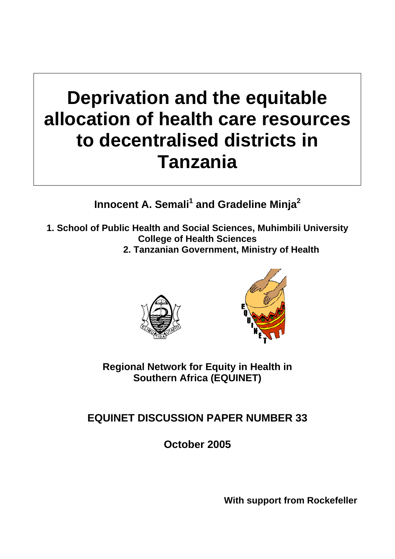# **Deprivation and the equitable allocation of health care resources to decentralised districts in Tanzania**

Innocent A. Semali<sup>1</sup> and Gradeline Minja<sup>2</sup>

- **1. School of Public Health and Social Sciences, Muhimbili University College of Health Sciences** 
	- **2. Tanzanian Government, Ministry of Health**





**Regional Network for Equity in Health in Southern Africa (EQUINET)** 

## **EQUINET DISCUSSION PAPER NUMBER 33**

**October 2005** 

**With support from Rockefeller**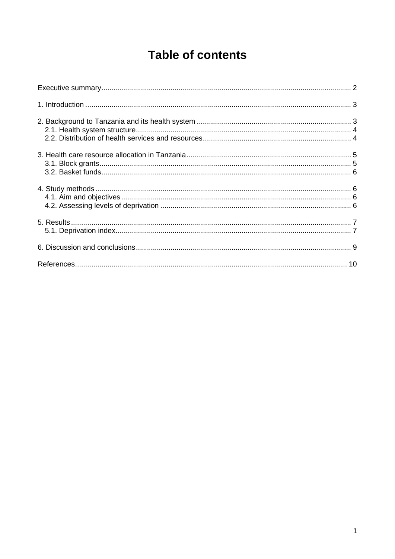## **Table of contents**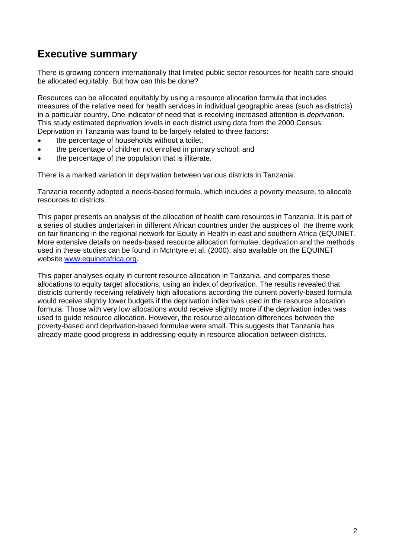### **Executive summary**

There is growing concern internationally that limited public sector resources for health care should be allocated equitably. But how can this be done?

Resources can be allocated equitably by using a resource allocation formula that includes measures of the relative need for health services in individual geographic areas (such as districts) in a particular country. One indicator of need that is receiving increased attention is *deprivation*. This study estimated deprivation levels in each district using data from the 2000 Census. Deprivation in Tanzania was found to be largely related to three factors:

- the percentage of households without a toilet;
- the percentage of children not enrolled in primary school; and
- the percentage of the population that is illiterate.

There is a marked variation in deprivation between various districts in Tanzania.

Tanzania recently adopted a needs-based formula, which includes a poverty measure, to allocate resources to districts.

This paper presents an analysis of the allocation of health care resources in Tanzania. It is part of a series of studies undertaken in different African countries under the auspices of the theme work on fair financing in the regional network for Equity in Health in east and southern Africa (EQUINET. More extensive details on needs-based resource allocation formulae, deprivation and the methods used in these studies can be found in McIntyre et al. (2000), also available on the EQUINET website www.equinetafrica.org.

This paper analyses equity in current resource allocation in Tanzania, and compares these allocations to equity target allocations, using an index of deprivation. The results revealed that districts currently receiving relatively high allocations according the current poverty-based formula would receive slightly lower budgets if the deprivation index was used in the resource allocation formula. Those with very low allocations would receive slightly more if the deprivation index was used to guide resource allocation. However, the resource allocation differences between the poverty-based and deprivation-based formulae were small. This suggests that Tanzania has already made good progress in addressing equity in resource allocation between districts.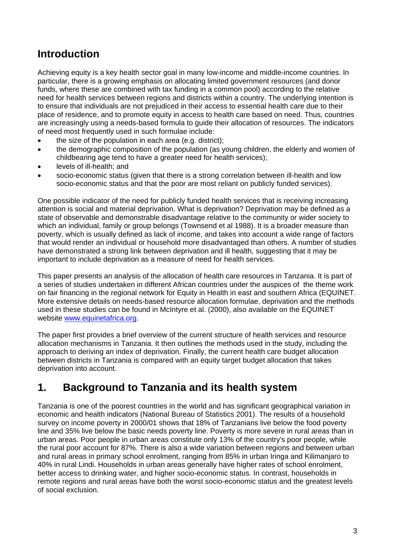## **Introduction**

Achieving equity is a key health sector goal in many low-income and middle-income countries. In particular, there is a growing emphasis on allocating limited government resources (and donor funds, where these are combined with tax funding in a common pool) according to the relative need for health services between regions and districts within a country. The underlying intention is to ensure that individuals are not prejudiced in their access to essential health care due to their place of residence, and to promote equity in access to health care based on need. Thus, countries are increasingly using a needs-based formula to guide their allocation of resources. The indicators of need most frequently used in such formulae include:

- the size of the population in each area (e.g. district);
- the demographic composition of the population (as young children, the elderly and women of childbearing age tend to have a greater need for health services);
- levels of ill-health; and
- socio-economic status (given that there is a strong correlation between ill-health and low socio-economic status and that the poor are most reliant on publicly funded services).

One possible indicator of the need for publicly funded health services that is receiving increasing attention is social and material deprivation. What is deprivation? Deprivation may be defined as a state of observable and demonstrable disadvantage relative to the community or wider society to which an individual, family or group belongs (Townsend et al 1988). It is a broader measure than poverty, which is usually defined as lack of income, and takes into account a wide range of factors that would render an individual or household more disadvantaged than others. A number of studies have demonstrated a strong link between deprivation and ill health, suggesting that it may be important to include deprivation as a measure of need for health services.

This paper presents an analysis of the allocation of health care resources in Tanzania. It is part of a series of studies undertaken in different African countries under the auspices of the theme work on fair financing in the regional network for Equity in Health in east and southern Africa (EQUINET. More extensive details on needs-based resource allocation formulae, deprivation and the methods used in these studies can be found in McIntyre et al. (2000), also available on the EQUINET website www.equinetafrica.org.

The paper first provides a brief overview of the current structure of health services and resource allocation mechanisms in Tanzania. It then outlines the methods used in the study, including the approach to deriving an index of deprivation. Finally, the current health care budget allocation between districts in Tanzania is compared with an equity target budget allocation that takes deprivation into account.

## **1. Background to Tanzania and its health system**

Tanzania is one of the poorest countries in the world and has significant geographical variation in economic and health indicators (National Bureau of Statistics 2001). The results of a household survey on income poverty in 2000/01 shows that 18% of Tanzanians live below the food poverty line and 35% live below the basic needs poverty line. Poverty is more severe in rural areas than in urban areas. Poor people in urban areas constitute only 13% of the country's poor people, while the rural poor account for 87%. There is also a wide variation between regions and between urban and rural areas in primary school enrolment, ranging from 85% in urban Iringa and Kilimanjaro to 40% in rural Lindi. Households in urban areas generally have higher rates of school enrolment, better access to drinking water, and higher socio-economic status. In contrast, households in remote regions and rural areas have both the worst socio-economic status and the greatest levels of social exclusion.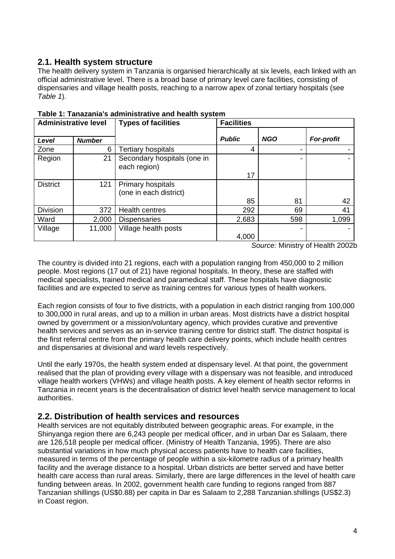#### **2.1. Health system structure**

The health delivery system in Tanzania is organised hierarchically at six levels, each linked with an official administrative level. There is a broad base of primary level care facilities, consisting of dispensaries and village health posts, reaching to a narrow apex of zonal tertiary hospitals (see *Table 1*).

| <b>Administrative level</b> |               | <b>Types of facilities</b>                  | <b>Facilities</b> |            |                   |  |
|-----------------------------|---------------|---------------------------------------------|-------------------|------------|-------------------|--|
|                             |               |                                             |                   |            |                   |  |
| Level                       | <b>Number</b> |                                             | <b>Public</b>     | <b>NGO</b> | <b>For-profit</b> |  |
| Zone                        | 6             | <b>Tertiary hospitals</b>                   |                   |            |                   |  |
| Region                      | 21            | Secondary hospitals (one in<br>each region) |                   |            |                   |  |
|                             |               |                                             | 17                |            |                   |  |
| <b>District</b>             | 121           | Primary hospitals                           |                   |            |                   |  |
|                             |               | (one in each district)                      |                   |            |                   |  |
|                             |               |                                             | 85                | 81         | 42                |  |
| <b>Division</b>             | 372           | <b>Health centres</b>                       | 292               | 69         | 41                |  |
| Ward                        | 2,000         | <b>Dispensaries</b>                         | 2,683             | 598        | 1,099             |  |
| Village                     | 11,000        | Village health posts                        |                   |            |                   |  |
|                             |               |                                             | 4,000             |            |                   |  |
| 0.0000                      |               |                                             |                   |            |                   |  |

**Table 1: Tanazania's administrative and health system**

*Source:* Ministry of Health 2002b

The country is divided into 21 regions, each with a population ranging from 450,000 to 2 million people. Most regions (17 out of 21) have regional hospitals. In theory, these are staffed with medical specialists, trained medical and paramedical staff. These hospitals have diagnostic facilities and are expected to serve as training centres for various types of health workers.

Each region consists of four to five districts, with a population in each district ranging from 100,000 to 300,000 in rural areas, and up to a million in urban areas. Most districts have a district hospital owned by government or a mission/voluntary agency, which provides curative and preventive health services and serves as an in-service training centre for district staff. The district hospital is the first referral centre from the primary health care delivery points, which include health centres and dispensaries at divisional and ward levels respectively.

Until the early 1970s, the health system ended at dispensary level. At that point, the government realised that the plan of providing every village with a dispensary was not feasible, and introduced village health workers (VHWs) and village health posts. A key element of health sector reforms in Tanzania in recent years is the decentralisation of district level health service management to local authorities.

#### **2.2. Distribution of health services and resources**

Health services are not equitably distributed between geographic areas. For example, in the Shinyanga region there are 6,243 people per medical officer, and in urban Dar es Salaam, there are 126,518 people per medical officer. (Ministry of Health Tanzania, 1995). There are also substantial variations in how much physical access patients have to health care facilities, measured in terms of the percentage of people within a six-kilometre radius of a primary health facility and the average distance to a hospital. Urban districts are better served and have better health care access than rural areas. Similarly, there are large differences in the level of health care funding between areas. In 2002, government health care funding to regions ranged from 887 Tanzanian shillings (US\$0.88) per capita in Dar es Salaam to 2,288 Tanzanian.shillings (US\$2.3) in Coast region.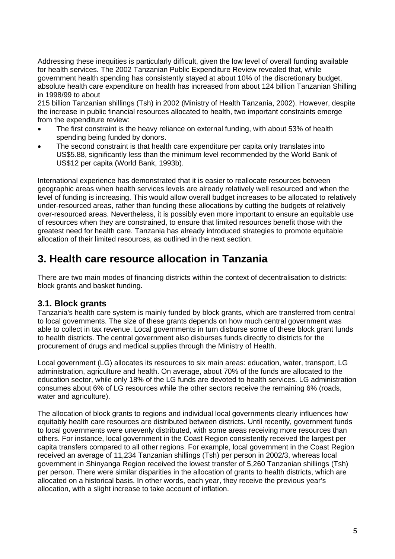Addressing these inequities is particularly difficult, given the low level of overall funding available for health services. The 2002 Tanzanian Public Expenditure Review revealed that, while government health spending has consistently stayed at about 10% of the discretionary budget, absolute health care expenditure on health has increased from about 124 billion Tanzanian Shilling in 1998/99 to about

215 billion Tanzanian shillings (Tsh) in 2002 (Ministry of Health Tanzania, 2002). However, despite the increase in public financial resources allocated to health, two important constraints emerge from the expenditure review:

- The first constraint is the heavy reliance on external funding, with about 53% of health spending being funded by donors.
- The second constraint is that health care expenditure per capita only translates into US\$5.88, significantly less than the minimum level recommended by the World Bank of US\$12 per capita (World Bank, 1993b).

International experience has demonstrated that it is easier to reallocate resources between geographic areas when health services levels are already relatively well resourced and when the level of funding is increasing. This would allow overall budget increases to be allocated to relatively under-resourced areas, rather than funding these allocations by cutting the budgets of relatively over-resourced areas. Nevertheless, it is possibly even more important to ensure an equitable use of resources when they are constrained, to ensure that limited resources benefit those with the greatest need for health care. Tanzania has already introduced strategies to promote equitable allocation of their limited resources, as outlined in the next section.

## **3. Health care resource allocation in Tanzania**

There are two main modes of financing districts within the context of decentralisation to districts: block grants and basket funding.

#### **3.1. Block grants**

Tanzania's health care system is mainly funded by block grants, which are transferred from central to local governments. The size of these grants depends on how much central government was able to collect in tax revenue. Local governments in turn disburse some of these block grant funds to health districts. The central government also disburses funds directly to districts for the procurement of drugs and medical supplies through the Ministry of Health.

Local government (LG) allocates its resources to six main areas: education, water, transport, LG administration, agriculture and health. On average, about 70% of the funds are allocated to the education sector, while only 18% of the LG funds are devoted to health services. LG administration consumes about 6% of LG resources while the other sectors receive the remaining 6% (roads, water and agriculture).

The allocation of block grants to regions and individual local governments clearly influences how equitably health care resources are distributed between districts. Until recently, government funds to local governments were unevenly distributed, with some areas receiving more resources than others. For instance, local government in the Coast Region consistently received the largest per capita transfers compared to all other regions. For example, local government in the Coast Region received an average of 11,234 Tanzanian shillings (Tsh) per person in 2002/3, whereas local government in Shinyanga Region received the lowest transfer of 5,260 Tanzanian shillings (Tsh) per person. There were similar disparities in the allocation of grants to health districts, which are allocated on a historical basis. In other words, each year, they receive the previous year's allocation, with a slight increase to take account of inflation.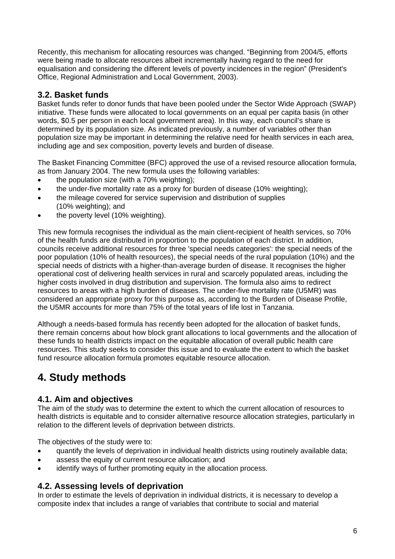Recently, this mechanism for allocating resources was changed. "Beginning from 2004/5, efforts were being made to allocate resources albeit incrementally having regard to the need for equalisation and considering the different levels of poverty incidences in the region" (President's Office, Regional Administration and Local Government, 2003).

#### **3.2. Basket funds**

Basket funds refer to donor funds that have been pooled under the Sector Wide Approach (SWAP) initiative. These funds were allocated to local governments on an equal per capita basis (in other words, \$0.5 per person in each local government area). In this way, each council's share is determined by its population size. As indicated previously, a number of variables other than population size may be important in determining the relative need for health services in each area, including age and sex composition, poverty levels and burden of disease.

The Basket Financing Committee (BFC) approved the use of a revised resource allocation formula, as from January 2004. The new formula uses the following variables:

- the population size (with a 70% weighting);
- the under-five mortality rate as a proxy for burden of disease (10% weighting);
- the mileage covered for service supervision and distribution of supplies (10% weighting); and
- the poverty level (10% weighting).

This new formula recognises the individual as the main client-recipient of health services, so 70% of the health funds are distributed in proportion to the population of each district. In addition, councils receive additional resources for three 'special needs categories': the special needs of the poor population (10% of health resources), the special needs of the rural population (10%) and the special needs of districts with a higher-than-average burden of disease. It recognises the higher operational cost of delivering health services in rural and scarcely populated areas, including the higher costs involved in drug distribution and supervision. The formula also aims to redirect resources to areas with a high burden of diseases. The under-five mortality rate (U5MR) was considered an appropriate proxy for this purpose as, according to the Burden of Disease Profile, the U5MR accounts for more than 75% of the total years of life lost in Tanzania.

Although a needs-based formula has recently been adopted for the allocation of basket funds, there remain concerns about how block grant allocations to local governments and the allocation of these funds to health districts impact on the equitable allocation of overall public health care resources. This study seeks to consider this issue and to evaluate the extent to which the basket fund resource allocation formula promotes equitable resource allocation.

## **4. Study methods**

#### **4.1. Aim and objectives**

The aim of the study was to determine the extent to which the current allocation of resources to health districts is equitable and to consider alternative resource allocation strategies, particularly in relation to the different levels of deprivation between districts.

The objectives of the study were to:

- quantify the levels of deprivation in individual health districts using routinely available data;
- assess the equity of current resource allocation; and
- identify ways of further promoting equity in the allocation process.

#### **4.2. Assessing levels of deprivation**

In order to estimate the levels of deprivation in individual districts, it is necessary to develop a composite index that includes a range of variables that contribute to social and material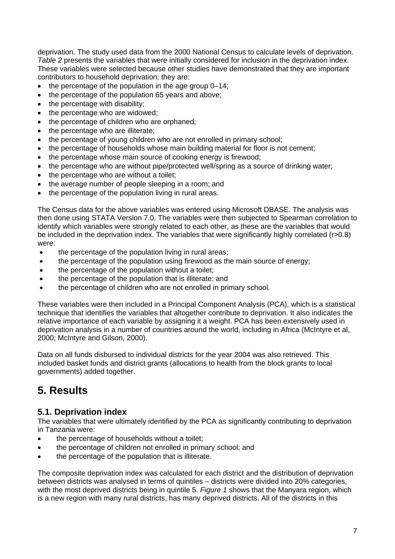deprivation. The study used data from the 2000 National Census to calculate levels of deprivation. *Table 2* presents the variables that were initially considered for inclusion in the deprivation index. These variables were selected because other studies have demonstrated that they are important contributors to household deprivation; they are:

- the percentage of the population in the age group 0–14;
- the percentage of the population 65 years and above;
- the percentage with disability;
- the percentage who are widowed;
- the percentage of children who are orphaned;
- the percentage who are illiterate:
- the percentage of young children who are not enrolled in primary school;
- the percentage of households whose main building material for floor is not cement;
- the percentage whose main source of cooking energy is firewood;
- the percentage who are without pipe/protected well/spring as a source of drinking water;
- the percentage who are without a toilet;
- the average number of people sleeping in a room; and
- the percentage of the population living in rural areas.

The Census data for the above variables was entered using Microsoft DBASE. The analysis was then done using STATA Version 7.0. The variables were then subjected to Spearman correlation to identify which variables were strongly related to each other, as these are the variables that would be included in the deprivation index. The variables that were significantly highly correlated (r>0.8) were:

- the percentage of the population living in rural areas;
- the percentage of the population using firewood as the main source of energy;
- the percentage of the population without a toilet:
- the percentage of the population that is illiterate; and
- the percentage of children who are not enrolled in primary school.

These variables were then included in a Principal Component Analysis (PCA), which is a statistical technique that identifies the variables that altogether contribute to deprivation. It also indicates the relative importance of each variable by assigning it a weight. PCA has been extensively used in deprivation analysis in a number of countries around the world, including in Africa (McIntyre et al, 2000; McIntyre and Gilson, 2000).

Data on all funds disbursed to individual districts for the year 2004 was also retrieved. This included basket funds and district grants (allocations to health from the block grants to local governments) added together.

## **5. Results**

#### **5.1. Deprivation index**

The variables that were ultimately identified by the PCA as significantly contributing to deprivation in Tanzania were:

- the percentage of households without a toilet;
- the percentage of children not enrolled in primary school; and
- the percentage of the population that is illiterate.

The composite deprivation index was calculated for each district and the distribution of deprivation between districts was analysed in terms of quintiles – districts were divided into 20% categories, with the most deprived districts being in quintile 5. *Figure 1* shows that the Manyara region, which is a new region with many rural districts, has many deprived districts. All of the districts in this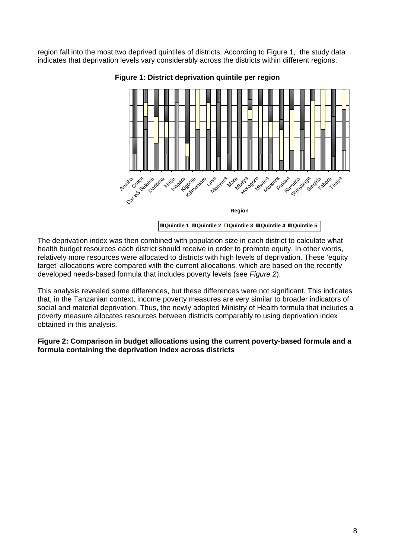region fall into the most two deprived quintiles of districts. According to Figure 1, the study data indicates that deprivation levels vary considerably across the districts within different regions.



**Figure 1: District deprivation quintile per region** 

The deprivation index was then combined with population size in each district to calculate what health budget resources each district should receive in order to promote equity. In other words, relatively more resources were allocated to districts with high levels of deprivation. These 'equity target' allocations were compared with the current allocations, which are based on the recently developed needs-based formula that includes poverty levels (see *Figure 2*).

This analysis revealed some differences, but these differences were not significant. This indicates that, in the Tanzanian context, income poverty measures are very similar to broader indicators of social and material deprivation. Thus, the newly adopted Ministry of Health formula that includes a poverty measure allocates resources between districts comparably to using deprivation index obtained in this analysis.

**Figure 2: Comparison in budget allocations using the current poverty-based formula and a formula containing the deprivation index across districts**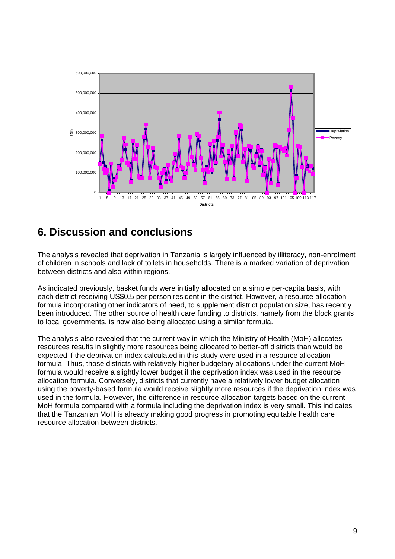

## **6. Discussion and conclusions**

The analysis revealed that deprivation in Tanzania is largely influenced by illiteracy, non-enrolment of children in schools and lack of toilets in households. There is a marked variation of deprivation between districts and also within regions.

As indicated previously, basket funds were initially allocated on a simple per-capita basis, with each district receiving US\$0.5 per person resident in the district. However, a resource allocation formula incorporating other indicators of need, to supplement district population size, has recently been introduced. The other source of health care funding to districts, namely from the block grants to local governments, is now also being allocated using a similar formula.

The analysis also revealed that the current way in which the Ministry of Health (MoH) allocates resources results in slightly more resources being allocated to better-off districts than would be expected if the deprivation index calculated in this study were used in a resource allocation formula. Thus, those districts with relatively higher budgetary allocations under the current MoH formula would receive a slightly lower budget if the deprivation index was used in the resource allocation formula. Conversely, districts that currently have a relatively lower budget allocation using the poverty-based formula would receive slightly more resources if the deprivation index was used in the formula. However, the difference in resource allocation targets based on the current MoH formula compared with a formula including the deprivation index is very small. This indicates that the Tanzanian MoH is already making good progress in promoting equitable health care resource allocation between districts.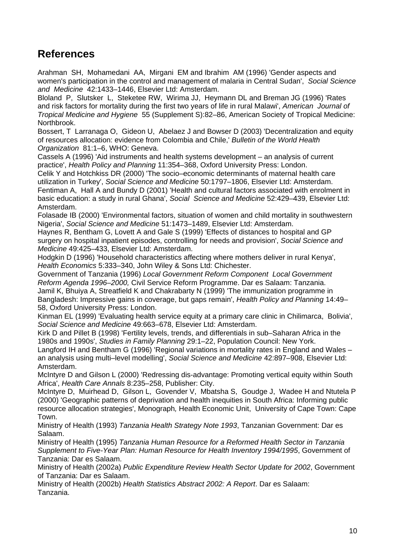## **References**

Arahman SH, Mohamedani AA, Mirgani EM and Ibrahim AM (1996) 'Gender aspects and women's participation in the control and management of malaria in Central Sudan', *Social Science and Medicine* 42:1433–1446, Elsevier Ltd: Amsterdam.

Bloland P, Slutsker L, Steketee RW, Wirima JJ, Heymann DL and Breman JG (1996) 'Rates and risk factors for mortality during the first two years of life in rural Malawi', *American Journal of Tropical Medicine and Hygiene* 55 (Supplement S):82–86, American Society of Tropical Medicine: Northbrook.

Bossert, T Larranaga O, Gideon U, Abelaez J and Bowser D (2003) 'Decentralization and equity of resources allocation: evidence from Colombia and Chile,' *Bulletin of the World Health Organization* 81:1–6, WHO: Geneva.

Cassels A (1996) 'Aid instruments and health systems development – an analysis of current practice', *Health Policy and Planning* 11:354–368, Oxford University Press: London.

Celik Y and Hotchkiss DR (2000) 'The socio–economic determinants of maternal health care utilization in Turkey', *Social Science and Medicine* 50:1797–1806, Elsevier Ltd: Amsterdam. Fentiman A, Hall A and Bundy D (2001) 'Health and cultural factors associated with enrolment in basic education: a study in rural Ghana', *Social Science and Medicine* 52:429–439, Elsevier Ltd: Amsterdam.

Folasade IB (2000) 'Environmental factors, situation of women and child mortality in southwestern Nigeria', *Social Science and Medicine* 51:1473–1489, Elsevier Ltd: Amsterdam.

Haynes R, Bentham G, Lovett A and Gale S (1999) 'Effects of distances to hospital and GP surgery on hospital inpatient episodes, controlling for needs and provision', *Social Science and Medicine* 49:425–433, Elsevier Ltd: Amsterdam.

Hodgkin D (1996) 'Household characteristics affecting where mothers deliver in rural Kenya', *Health Economics* 5:333–340, John Wiley & Sons Ltd: Chichester.

Government of Tanzania (1996) *Local Government Reform Component Local Government Reform Agenda 1996–2000,* Civil Service Reform Programme. Dar es Salaam: Tanzania. Jamil K, Bhuiya A, Streatfield K and Chakrabarty N (1999) 'The immunization programme in Bangladesh: Impressive gains in coverage, but gaps remain', *Health Policy and Planning* 14:49– 58, Oxford University Press: London.

Kinman EL (1999) 'Evaluating health service equity at a primary care clinic in Chilimarca, Bolivia', *Social Science and Medicine* 49:663–678, Elsevier Ltd: Amsterdam.

Kirk D and Pillet B (1998) 'Fertility levels, trends, and differentials in sub–Saharan Africa in the 1980s and 1990s', *Studies in Family Planning* 29:1–22, Population Council: New York.

Langford IH and Bentham G (1996) 'Regional variations in mortality rates in England and Wales – an analysis using multi–level modelling', *Social Science and Medicine* 42:897–908, Elsevier Ltd: Amsterdam.

McIntyre D and Gilson L (2000) 'Redressing dis-advantage: Promoting vertical equity within South Africa', *Health Care Annals* 8:235–258, Publisher: City.

McIntyre D, Muirhead D, Gilson L, Govender V, Mbatsha S, Goudge J, Wadee H and Ntutela P (2000) 'Geographic patterns of deprivation and health inequities in South Africa: Informing public resource allocation strategies', Monograph*,* Health Economic Unit, University of Cape Town: Cape Town.

Ministry of Health (1993) *Tanzania Health Strategy Note 1993*, Tanzanian Government: Dar es Salaam.

Ministry of Health (1995) *Tanzania Human Resource for a Reformed Health Sector in Tanzania Supplement to Five-Year Plan: Human Resource for Health Inventory 1994/1995*, Government of Tanzania: Dar es Salaam.

Ministry of Health (2002a) *Public Expenditure Review Health Sector Update for 2002*, Government of Tanzania: Dar es Salaam.

Ministry of Health (2002b) *Health Statistics Abstract 2002: A Report*. Dar es Salaam: Tanzania.